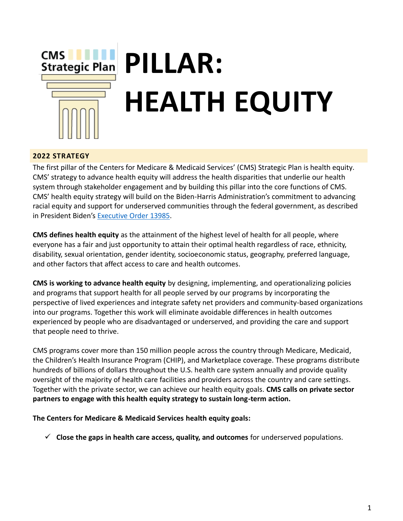

#### **2022 STRATEGY**

The first pillar of the Centers for Medicare & Medicaid Services' (CMS) Strategic Plan is health equity. CMS' strategy to advance health equity will address the health disparities that underlie our health system through stakeholder engagement and by building this pillar into the core functions of CMS. CMS' health equity strategy will build on the Biden-Harris Administration's commitment to advancing racial equity and support for underserved communities through the federal government, as described in President Biden's [Executive Order 13985.](https://www.whitehouse.gov/briefing-room/presidential-actions/2021/01/20/executive-order-advancing-racial-equity-and-support-for-underserved-communities-through-the-federal-government/)

**CMS defines health equity** as the attainment of the highest level of health for all people, where everyone has a fair and just opportunity to attain their optimal health regardless of race, ethnicity, disability, sexual orientation, gender identity, socioeconomic status, geography, preferred language, and other factors that affect access to care and health outcomes.

**CMS is working to advance health equity** by designing, implementing, and operationalizing policies and programs that support health for all people served by our programs by incorporating the perspective of lived experiences and integrate safety net providers and community-based organizations into our programs. Together this work will eliminate avoidable differences in health outcomes experienced by people who are disadvantaged or underserved, and providing the care and support that people need to thrive.

CMS programs cover more than 150 million people across the country through Medicare, Medicaid, the Children's Health Insurance Program (CHIP), and Marketplace coverage. These programs distribute hundreds of billions of dollars throughout the U.S. health care system annually and provide quality oversight of the majority of health care facilities and providers across the country and care settings. Together with the private sector, we can achieve our health equity goals. **CMS calls on private sector partners to engage with this health equity strategy to sustain long-term action.**

**The Centers for Medicare & Medicaid Services health equity goals:**

✓ **Close the gaps in health care access, quality, and outcomes** for underserved populations.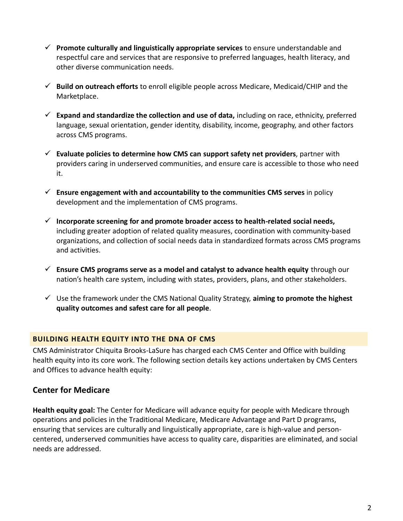- ✓ **Promote culturally and linguistically appropriate services** to ensure understandable and respectful care and services that are responsive to preferred languages, health literacy, and other diverse communication needs.
- ✓ **Build on outreach efforts** to enroll eligible people across Medicare, Medicaid/CHIP and the Marketplace.
- ✓ **Expand and standardize the collection and use of data,** including on race, ethnicity, preferred language, sexual orientation, gender identity, disability, income, geography, and other factors across CMS programs.
- ✓ **Evaluate policies to determine how CMS can support safety net providers**, partner with providers caring in underserved communities, and ensure care is accessible to those who need it.
- $\checkmark$  Ensure engagement with and accountability to the communities CMS serves in policy development and the implementation of CMS programs.
- ✓ **Incorporate screening for and promote broader access to health-related social needs,**  including greater adoption of related quality measures, coordination with community-based organizations, and collection of social needs data in standardized formats across CMS programs and activities.
- ✓ **Ensure CMS programs serve as a model and catalyst to advance health equity** through our nation's health care system, including with states, providers, plans, and other stakeholders.
- ✓ Use the framework under the CMS National Quality Strategy, **aiming to promote the highest quality outcomes and safest care for all people**.

### **BUILDING HEALTH EQUITY INTO THE DNA OF CMS**

CMS Administrator Chiquita Brooks-LaSure has charged each CMS Center and Office with building health equity into its core work. The following section details key actions undertaken by CMS Centers and Offices to advance health equity:

# **Center for Medicare**

**Health equity goal:** The Center for Medicare will advance equity for people with Medicare through operations and policies in the Traditional Medicare, Medicare Advantage and Part D programs, ensuring that services are culturally and linguistically appropriate, care is high-value and personcentered, underserved communities have access to quality care, disparities are eliminated, and social needs are addressed.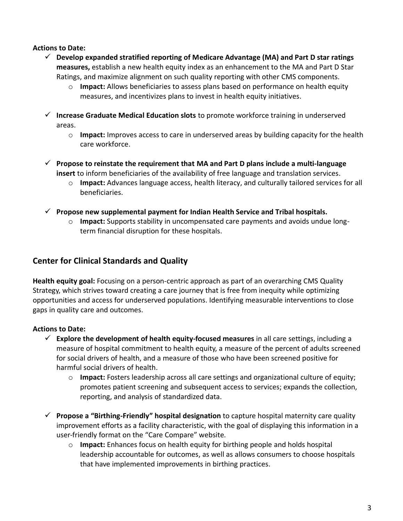#### **Actions to Date:**

- ✓ **Develop expanded stratified reporting of Medicare Advantage (MA) and Part D star ratings measures,** establish a new health equity index as an enhancement to the MA and Part D Star Ratings, and maximize alignment on such quality reporting with other CMS components.
	- o **Impact:** Allows beneficiaries to assess plans based on performance on health equity measures, and incentivizes plans to invest in health equity initiatives.
- ✓ **Increase Graduate Medical Education slots** to promote workforce training in underserved areas.
	- o **Impact:** Improves access to care in underserved areas by building capacity for the health care workforce.
- ✓ **Propose to reinstate the requirement that MA and Part D plans include a multi-language insert** to inform beneficiaries of the availability of free language and translation services.
	- o **Impact:** Advances language access, health literacy, and culturally tailored services for all beneficiaries.
- ✓ **Propose new supplemental payment for Indian Health Service and Tribal hospitals.**
	- o **Impact:** Supports stability in uncompensated care payments and avoids undue longterm financial disruption for these hospitals.

## **Center for Clinical Standards and Quality**

**Health equity goal:** Focusing on a person-centric approach as part of an overarching CMS Quality Strategy, which strives toward creating a care journey that is free from inequity while optimizing opportunities and access for underserved populations. Identifying measurable interventions to close gaps in quality care and outcomes.

- ✓ **Explore the development of health equity-focused measures** in all care settings, including a measure of hospital commitment to health equity, a measure of the percent of adults screened for social drivers of health, and a measure of those who have been screened positive for harmful social drivers of health.
	- o **Impact:** Fosters leadership across all care settings and organizational culture of equity; promotes patient screening and subsequent access to services; expands the collection, reporting, and analysis of standardized data.
- ✓ **Propose a "Birthing-Friendly" hospital designation** to capture hospital maternity care quality improvement efforts as a facility characteristic, with the goal of displaying this information in a user-friendly format on the "Care Compare" website.
	- o **Impact:** Enhances focus on health equity for birthing people and holds hospital leadership accountable for outcomes, as well as allows consumers to choose hospitals that have implemented improvements in birthing practices.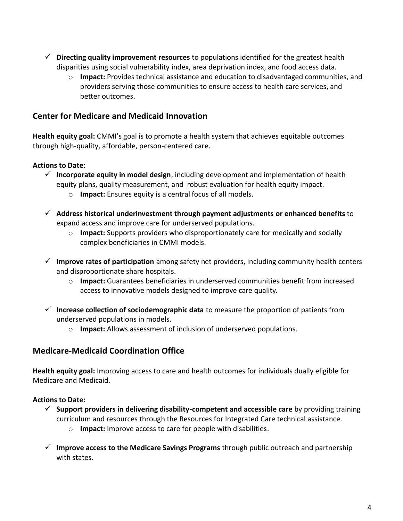- ✓ **Directing quality improvement resources** to populations identified for the greatest health disparities using social vulnerability index, area deprivation index, and food access data.
	- o **Impact:** Provides technical assistance and education to disadvantaged communities, and providers serving those communities to ensure access to health care services, and better outcomes.

## **Center for Medicare and Medicaid Innovation**

**Health equity goal:** CMMI's goal is to promote a health system that achieves equitable outcomes through high-quality, affordable, person-centered care.

#### **Actions to Date:**

- ✓ **Incorporate equity in model design**, including development and implementation of health equity plans, quality measurement, and robust evaluation for health equity impact.
	- o **Impact:** Ensures equity is a central focus of all models.
- ✓ **Address historical underinvestment through payment adjustments or enhanced benefits** to expand access and improve care for underserved populations.
	- o **Impact:** Supports providers who disproportionately care for medically and socially complex beneficiaries in CMMI models.
- ✓ **Improve rates of participation** among safety net providers, including community health centers and disproportionate share hospitals.
	- o **Impact:** Guarantees beneficiaries in underserved communities benefit from increased access to innovative models designed to improve care quality.
- ✓ **Increase collection of sociodemographic data** to measure the proportion of patients from underserved populations in models.
	- o **Impact:** Allows assessment of inclusion of underserved populations.

## **Medicare-Medicaid Coordination Office**

**Health equity goal:** Improving access to care and health outcomes for individuals dually eligible for Medicare and Medicaid.

- ✓ **Support providers in delivering disability-competent and accessible care** by providing training curriculum and resources through the Resources for Integrated Care technical assistance.
	- o **Impact:** Improve access to care for people with disabilities.
- ✓ **Improve access to the Medicare Savings Programs** through public outreach and partnership with states.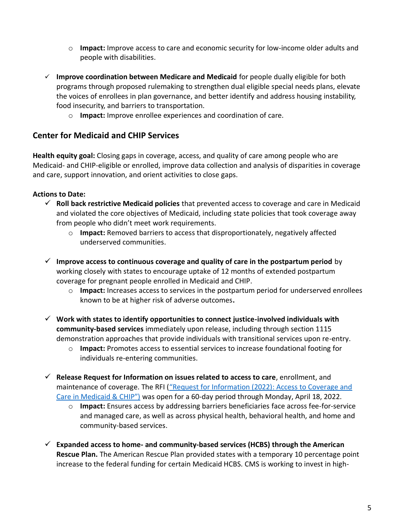- o **Impact:** Improve access to care and economic security for low-income older adults and people with disabilities.
- ✓ **Improve coordination between Medicare and Medicaid** for people dually eligible for both programs through proposed rulemaking to strengthen dual eligible special needs plans, elevate the voices of enrollees in plan governance, and better identify and address housing instability, food insecurity, and barriers to transportation.
	- o **Impact:** Improve enrollee experiences and coordination of care.

# **Center for Medicaid and CHIP Services**

**Health equity goal:** Closing gaps in coverage, access, and quality of care among people who are Medicaid- and CHIP-eligible or enrolled, improve data collection and analysis of disparities in coverage and care, support innovation, and orient activities to close gaps.

- ✓ **Roll back restrictive Medicaid policies** that prevented access to coverage and care in Medicaid and violated the core objectives of Medicaid, including state policies that took coverage away from people who didn't meet work requirements.
	- o **Impact:** Removed barriers to access that disproportionately, negatively affected underserved communities.
- $\checkmark$  Improve access to continuous coverage and quality of care in the postpartum period by working closely with states to encourage uptake of 12 months of extended postpartum coverage for pregnant people enrolled in Medicaid and CHIP.
	- o **Impact:** Increases access to services in the postpartum period for underserved enrollees known to be at higher risk of adverse outcomes**.**
- ✓ **Work with states to identify opportunities to connect justice-involved individuals with community-based services** immediately upon release, including through section 1115 demonstration approaches that provide individuals with transitional services upon re-entry.
	- o **Impact:** Promotes access to essential services to increase foundational footing for individuals re-entering communities.
- ✓ **Release Request for Information on issues related to access to care**, enrollment, and maintenance of coverage. The RFI (["Request for Information \(2022\): Access to Coverage and](https://cmsmedicaidaccessrfi.gov1.qualtrics.com/jfe/form/SV_6EYj9eLS9b74Npk)  [Care in Medicaid & CHIP"\)](https://cmsmedicaidaccessrfi.gov1.qualtrics.com/jfe/form/SV_6EYj9eLS9b74Npk) was open for a 60-day period through Monday, April 18, 2022.
	- o **Impact:** Ensures access by addressing barriers beneficiaries face across fee-for-service and managed care, as well as across physical health, behavioral health, and home and community-based services.
- ✓ **Expanded access to home- and community-based services (HCBS) through the American Rescue Plan.** The American Rescue Plan provided states with a temporary 10 percentage point increase to the federal funding for certain Medicaid HCBS. CMS is working to invest in high-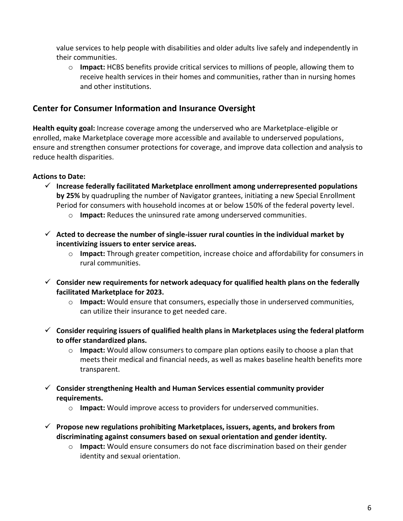value services to help people with disabilities and older adults live safely and independently in their communities.

o **Impact:** HCBS benefits provide critical services to millions of people, allowing them to receive health services in their homes and communities, rather than in nursing homes and other institutions.

## **Center for Consumer Information and Insurance Oversight**

**Health equity goal:** Increase coverage among the underserved who are Marketplace-eligible or enrolled, make Marketplace coverage more accessible and available to underserved populations, ensure and strengthen consumer protections for coverage, and improve data collection and analysis to reduce health disparities.

- ✓ **Increase federally facilitated Marketplace enrollment among underrepresented populations by 25%** by quadrupling the number of Navigator grantees, initiating a new Special Enrollment Period for consumers with household incomes at or below 150% of the federal poverty level.
	- o **Impact:** Reduces the uninsured rate among underserved communities.
- ✓ **Acted to decrease the number of single-issuer rural counties in the individual market by incentivizing issuers to enter service areas.** 
	- o **Impact:** Through greater competition, increase choice and affordability for consumers in rural communities.
- ✓ **Consider new requirements for network adequacy for qualified health plans on the federally facilitated Marketplace for 2023.**
	- o **Impact:** Would ensure that consumers, especially those in underserved communities, can utilize their insurance to get needed care.
- ✓ **Consider requiring issuers of qualified health plans in Marketplaces using the federal platform to offer standardized plans.**
	- o **Impact:** Would allow consumers to compare plan options easily to choose a plan that meets their medical and financial needs, as well as makes baseline health benefits more transparent.
- ✓ **Consider strengthening Health and Human Services essential community provider requirements.**
	- o **Impact:** Would improve access to providers for underserved communities.
- ✓ **Propose new regulations prohibiting Marketplaces, issuers, agents, and brokers from discriminating against consumers based on sexual orientation and gender identity.** 
	- o **Impact:** Would ensure consumers do not face discrimination based on their gender identity and sexual orientation.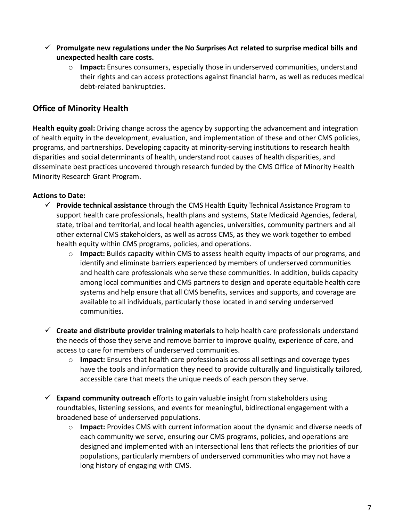- ✓ **Promulgate new regulations under the No Surprises Act related to surprise medical bills and unexpected health care costs.** 
	- o **Impact:** Ensures consumers, especially those in underserved communities, understand their rights and can access protections against financial harm, as well as reduces medical debt-related bankruptcies.

# **Office of Minority Health**

**Health equity goal:** Driving change across the agency by supporting the advancement and integration of health equity in the development, evaluation, and implementation of these and other CMS policies, programs, and partnerships. Developing capacity at minority-serving institutions to research health disparities and social determinants of health, understand root causes of health disparities, and disseminate best practices uncovered through research funded by the CMS Office of Minority Health Minority Research Grant Program.

- ✓ **Provide technical assistance** through the CMS Health Equity Technical Assistance Program to support health care professionals, health plans and systems, State Medicaid Agencies, federal, state, tribal and territorial, and local health agencies, universities, community partners and all other external CMS stakeholders, as well as across CMS, as they we work together to embed health equity within CMS programs, policies, and operations.
	- o **Impact:** Builds capacity within CMS to assess health equity impacts of our programs, and identify and eliminate barriers experienced by members of underserved communities and health care professionals who serve these communities. In addition, builds capacity among local communities and CMS partners to design and operate equitable health care systems and help ensure that all CMS benefits, services and supports, and coverage are available to all individuals, particularly those located in and serving underserved communities.
- ✓ **Create and distribute provider training materials** to help health care professionals understand the needs of those they serve and remove barrier to improve quality, experience of care, and access to care for members of underserved communities.
	- o **Impact:** Ensures that health care professionals across all settings and coverage types have the tools and information they need to provide culturally and linguistically tailored, accessible care that meets the unique needs of each person they serve.
- ✓ **Expand community outreach** efforts to gain valuable insight from stakeholders using roundtables, listening sessions, and events for meaningful, bidirectional engagement with a broadened base of underserved populations.
	- o **Impact:** Provides CMS with current information about the dynamic and diverse needs of each community we serve, ensuring our CMS programs, policies, and operations are designed and implemented with an intersectional lens that reflects the priorities of our populations, particularly members of underserved communities who may not have a long history of engaging with CMS.